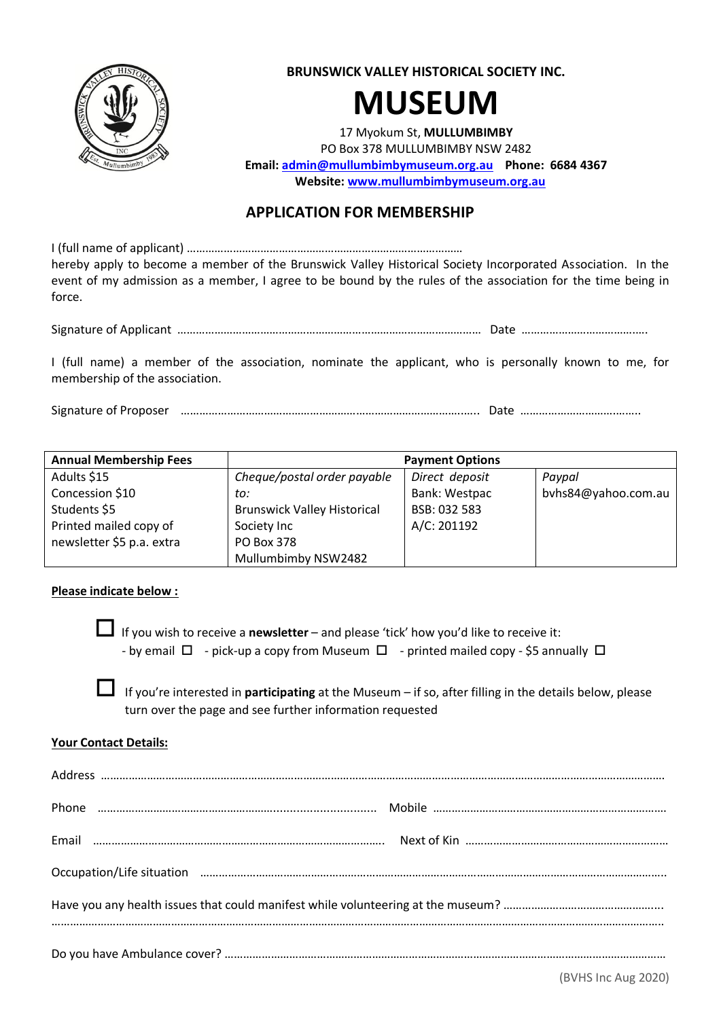

**BRUNSWICK VALLEY HISTORICAL SOCIETY INC.**

# **MUSEUM**

17 Myokum St, **MULLUMBIMBY** PO Box 378 MULLUMBIMBY NSW 2482 **Email: [admin@mullumbimbymuseum.org.au](mailto:admin@mullumbimbymuseum.org.au) Phone: 6684 4367 Website: [www.mullumbimbymuseum.org.au](http://www.mullumbimbymuseum.org.au/)**

# **APPLICATION FOR MEMBERSHIP**

I (full name of applicant) ……………………………………………………………………………… hereby apply to become a member of the Brunswick Valley Historical Society Incorporated Association. In the event of my admission as a member, I agree to be bound by the rules of the association for the time being in force.

Signature of Applicant ……………………………………………………………………………………… Date ……………………………….….

I (full name) a member of the association, nominate the applicant, who is personally known to me, for membership of the association.

Signature of Proposer ………………………………………………………………………………..….. Date ………………………….……..

| <b>Annual Membership Fees</b> | <b>Payment Options</b>             |                |                     |  |
|-------------------------------|------------------------------------|----------------|---------------------|--|
| Adults \$15                   | Cheque/postal order payable        | Direct deposit | Paypal              |  |
| Concession \$10               | to:                                | Bank: Westpac  | byhs84@yahoo.com.au |  |
| Students \$5                  | <b>Brunswick Valley Historical</b> | BSB: 032 583   |                     |  |
| Printed mailed copy of        | Society Inc                        | A/C: 201192    |                     |  |
| newsletter \$5 p.a. extra     | PO Box 378                         |                |                     |  |
|                               | Mullumbimby NSW2482                |                |                     |  |

## **Please indicate below :**

 If you wish to receive a **newsletter** – and please 'tick' how you'd like to receive it: - by email  $\Box$  - pick-up a copy from Museum  $\Box$  - printed mailed copy - \$5 annually  $\Box$ 

 If you're interested in **participating** at the Museum – if so, after filling in the details below, please turn over the page and see further information requested

## **Your Contact Details:**

|  | Occupation/Life situation <i>manufactum manufactum manufactum manufactum manufactum manufactum manufactum manufactum</i> |  |  |  |
|--|--------------------------------------------------------------------------------------------------------------------------|--|--|--|
|  |                                                                                                                          |  |  |  |
|  |                                                                                                                          |  |  |  |